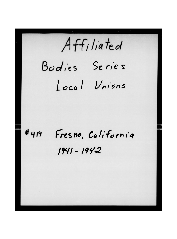Affiliated Budies Series Local Vnions

Fresno, California  $#419$ 1941-1942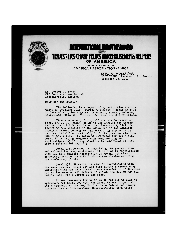

## **ICE SERVICE**  $\mathbf{E}$ ,  $\mathbf{H}$ **TEAMSTERS CHAUFFEURS!** WARFHOLISE MEN & HELPERS OF AMERICA

AFFILIATED WITH THE AMERICAN FEDERATION «LABOR

> INDIANAPOLIS, IND. WOLF HOTEL, Stockton, California<br>December 23, 1941

Mr. Daniel J. Tobin 222 East Michigan Street Indianapolis, Indiana

Dear 3ir and Brother:

The following is a report of my activities for the month of December 1941. During the month I spent my time in Bakersfield, Los Angeles, Tehachapi, Fresno, Modesto, Sacramento, Stockton, Vallejo, San Jose and San Francisco.

It was necessary for myself and the Secretary of<br>Local 87, K. R. Hoshaw, to go to Los Angeles and appear<br>before the N.L.R.B. not later than December 3, 1941, in regard to the election of the analoges of the Monolith Portland Cement Commay at Tehschapi. If our petition carries, it will automatically kill the previous election won by the C.I.O., 145 votes to 119 votes for the A.F.L. Local 87 is making progress each week getting new applications and if a new election is held Local 37 will have a substantial majority.

Local 431, Fresno, is organizing the garage, tire and vulcemizing shop employees. It is also in negotiations with the Mik Dealers Association of Fresno and also in negotiations with the milk Products Association covering the condenarry plants.

Local 439, Stockton, is also in megotiations with the same woople. Local 439 mas just signed a closed shop agreement with the milk Distributors Association of Stockton for an increase on all drivers of 415.00 and 417.50 for all inside ..elp, for a period of one year.

It was necessary for me to go to Vallejo to sign an agreement for Local 490 with the Henry Kaiser Company who has a contract at the Navy Yard at Lare Island and always insista that an International Representative sign their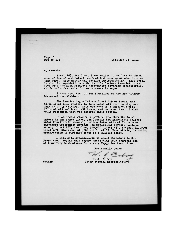December 23, 1941

<u>וורה</u>

Page 2<br>**WJC** to DJT

agreements.

Local 287, Sam Jose, I was called to Salinas to check some of the misunderstandings that had come up on some Government work. This matter was settled satisfactorily. This Local is also in negotiations with the **Hilk Dealers Association** and also with the Milk Products Association covering condensaries, which looks favorable for an increase in wages.

I have also been in 3an Francisco on the new Highway Agreement negotiations.

The Laundry "agon Drivers Local 419 of Fresno has asked Local 431, Fresno, to take Local 419 over as they are **only** about 45 drivers. Tnis was done by a unanimous **vote**  of Local 419 and Local 431 has agreed to ta<e them. I **also**  would recommend tnat you endorse their action.

**I am indeed glad to report to you that the Local Unions in the 3anta Clara, Jan Joaquin and 3acramento Valleys under Receiver-Trusteeship of the International Union have purcixased Government 3avings and Government Defense Bonds as snown; Local** 287, **3an Jose,** ^10,000; **Local** 431, **Fresno, vl0**,000; **Local** 439, **Stockton,** *+11,COG* **and Local** 87, **Bakersfield, is arrangements to purchase bonds on a smaller scale.** 

**I have made arrangements to spend Christinas in 3an Frapoiaco. Hoping this report meets** v**/ith your approval and with ay very best wisues for a very Happy** Hew **Yeur, I an** 

Fraternally yours

 $\sqrt{1-a}$ 

WJC:EB

 $\blacksquare$ . J.  $\ell$  aboy Intermational Representativ